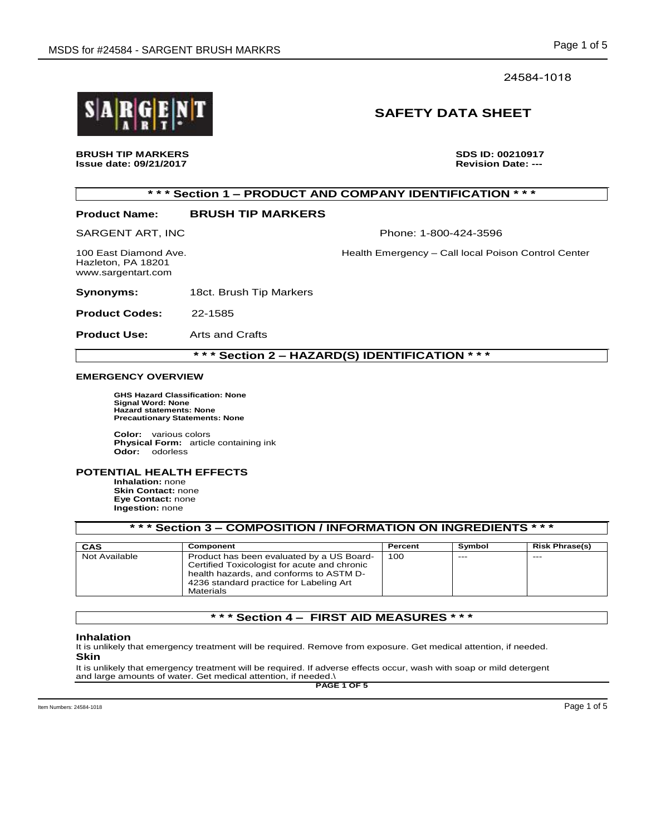### 24584-1018

# **SAFETY DATA SHEET**

**BRUSH TIP MARKERS** THE STATE OF STATE SOME SEXTING A SUSE ID: 00210917<br>Issue date: 09/21/2017 **Issue date: 09/21/2017** 

# **\* \* \* Section 1 – PRODUCT AND COMPANY IDENTIFICATION \* \* \***

# **Product Name: BRUSH TIP MARKERS**

SARGENT ART, INC Phone: 1-800-424-3596

100 East Diamond Ave. Health Emergency – Call local Poison Control Center

Hazleton, PA 18201 www.sargentart.com

**Synonyms:** 18ct. Brush Tip Markers

**Product Codes:** 22-1585

**Product Use:** Arts and Crafts

### **\* \* \* Section 2 – HAZARD(S) IDENTIFICATION \* \* \***

#### **EMERGENCY OVERVIEW**

 **GHS Hazard Classification: None Signal Word: None Hazard statements: None Precautionary Statements: None** 

**Color:** various colors **Physical Form:** article containing ink **Odor:** odorless

#### **POTENTIAL HEALTH EFFECTS**

**Inhalation:** none **Skin Contact:** none **Eye Contact:** none **Ingestion:** none

#### **\* \* \* Section 3 – COMPOSITION / INFORMATION ON INGREDIENTS \* \* \***

| CAS           | Component                                    | Percent | Symbol | <b>Risk Phrase(s)</b> |
|---------------|----------------------------------------------|---------|--------|-----------------------|
| Not Available | Product has been evaluated by a US Board-    | 100     | $---$  | $- - -$               |
|               | Certified Toxicologist for acute and chronic |         |        |                       |
|               | health hazards, and conforms to ASTM D-      |         |        |                       |
|               | 4236 standard practice for Labeling Art      |         |        |                       |
|               | Materials                                    |         |        |                       |

## **\* \* \* Section 4 – FIRST AID MEASURES \* \* \***

#### **Inhalation**

It is unlikely that emergency treatment will be required. Remove from exposure. Get medical attention, if needed. **Skin** 

It is unlikely that emergency treatment will be required. If adverse effects occur, wash with soap or mild detergent and large amounts of water. Get medical attention, if needed.\

**PAGE 1 OF 5**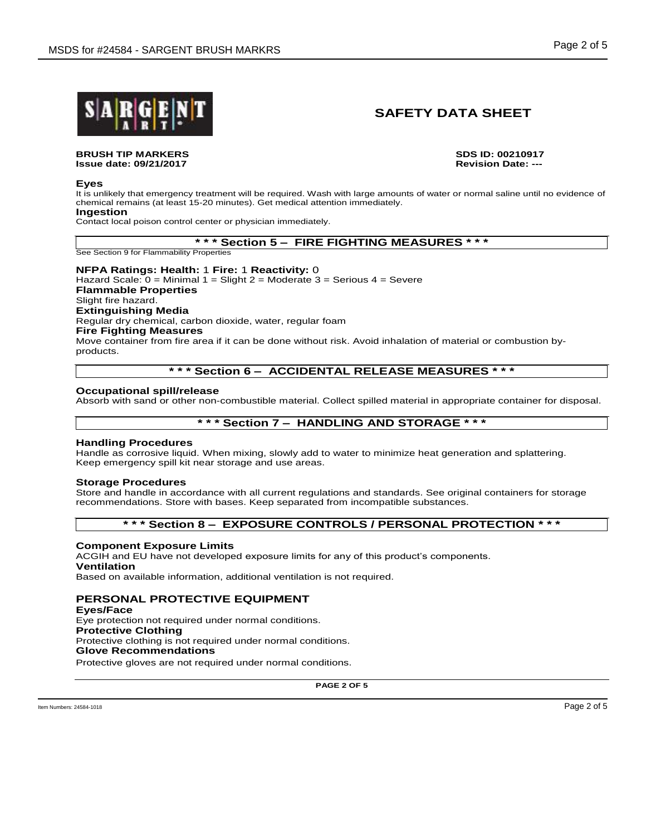

# **SAFETY DATA SHEET**

#### **BRUSH TIP MARKERS SDS ID: 00210917 Issue date: 09/21/2017**

#### **Eyes**

It is unlikely that emergency treatment will be required. Wash with large amounts of water or normal saline until no evidence of chemical remains (at least 15-20 minutes). Get medical attention immediately.

#### **Ingestion**

Contact local poison control center or physician immediately.

#### **\* \* \* Section 5 – FIRE FIGHTING MEASURES \* \* \***

See Section 9 for Flammability Properties

**NFPA Ratings: Health:** 1 **Fire:** 1 **Reactivity:** 0 Hazard Scale:  $0 =$  Minimal 1 = Slight 2 = Moderate 3 = Serious 4 = Severe **Flammable Properties** Slight fire hazard. **Extinguishing Media** Regular dry chemical, carbon dioxide, water, regular foam **Fire Fighting Measures** Move container from fire area if it can be done without risk. Avoid inhalation of material or combustion byproducts.

### **\* \* \* Section 6 – ACCIDENTAL RELEASE MEASURES \* \* \***

#### **Occupational spill/release**

Absorb with sand or other non-combustible material. Collect spilled material in appropriate container for disposal.

## **\* \* \* Section 7 – HANDLING AND STORAGE \* \* \***

#### **Handling Procedures**

Handle as corrosive liquid. When mixing, slowly add to water to minimize heat generation and splattering. Keep emergency spill kit near storage and use areas.

#### **Storage Procedures**

Store and handle in accordance with all current regulations and standards. See original containers for storage recommendations. Store with bases. Keep separated from incompatible substances.

### **\* \* \* Section 8 – EXPOSURE CONTROLS / PERSONAL PROTECTION \* \* \***

#### **Component Exposure Limits**

ACGIH and EU have not developed exposure limits for any of this product's components.

#### **Ventilation**

Based on available information, additional ventilation is not required.

### **PERSONAL PROTECTIVE EQUIPMENT**

**Eyes/Face** Eye protection not required under normal conditions. **Protective Clothing** Protective clothing is not required under normal conditions. **Glove Recommendations**

Protective gloves are not required under normal conditions.

**PAGE 2 OF 5**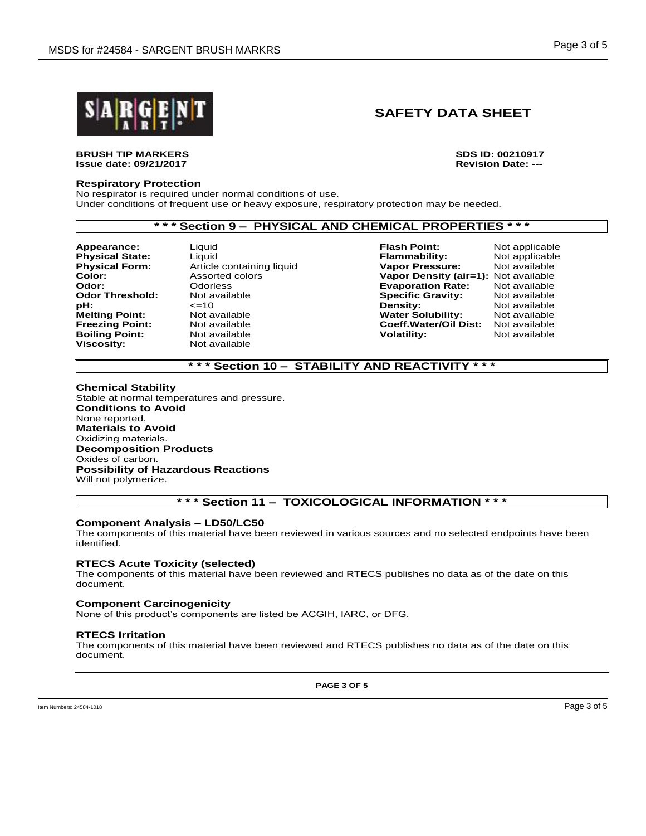

# **SAFETY DATA SHEET**

#### **BRUSH TIP MARKERS SDS ID: 00210917 Issue date: 09/21/2017**

#### **Respiratory Protection**

No respirator is required under normal conditions of use. Under conditions of frequent use or heavy exposure, respiratory protection may be needed.

#### **\* \* \* Section 9 – PHYSICAL AND CHEMICAL PROPERTIES \* \* \***

**Physical State: Odor Threshold: Viscosity:** Not available

**Boiling Point:** Not available **Volatility**: **Volatility: Volatility:** 

**Appearance:** Liquid **Flash Point:** Not applicable **Physical Form:** Article containing liquid **Vapor Pressure:** Not available **Color:** Assorted colors **Vapor Density (air=1):** Not available **Odor:** Odorless **Evaporation Rate:** Not available **pH:** <=10 **Density:** Not available **Melting Point:** Not available **Water Solubility:** Not available **Freezing Point:** Not available **Coeff.Water/Oil Dist:** Not available **Coeff.Water/Oil Dist:** Not available **Boiling Point:** 

## **\* \* \* Section 10 – STABILITY AND REACTIVITY \* \* \***

**Chemical Stability** Stable at normal temperatures and pressure. **Conditions to Avoid** None reported. **Materials to Avoid** Oxidizing materials. **Decomposition Products** Oxides of carbon. **Possibility of Hazardous Reactions** Will not polymerize.

## **\* \* \* Section 11 – TOXICOLOGICAL INFORMATION \* \* \***

#### **Component Analysis – LD50/LC50**

The components of this material have been reviewed in various sources and no selected endpoints have been identified.

#### **RTECS Acute Toxicity (selected)**

The components of this material have been reviewed and RTECS publishes no data as of the date on this document.

#### **Component Carcinogenicity**

None of this product's components are listed be ACGIH, IARC, or DFG.

#### **RTECS Irritation**

The components of this material have been reviewed and RTECS publishes no data as of the date on this document.

**PAGE 3 OF 5**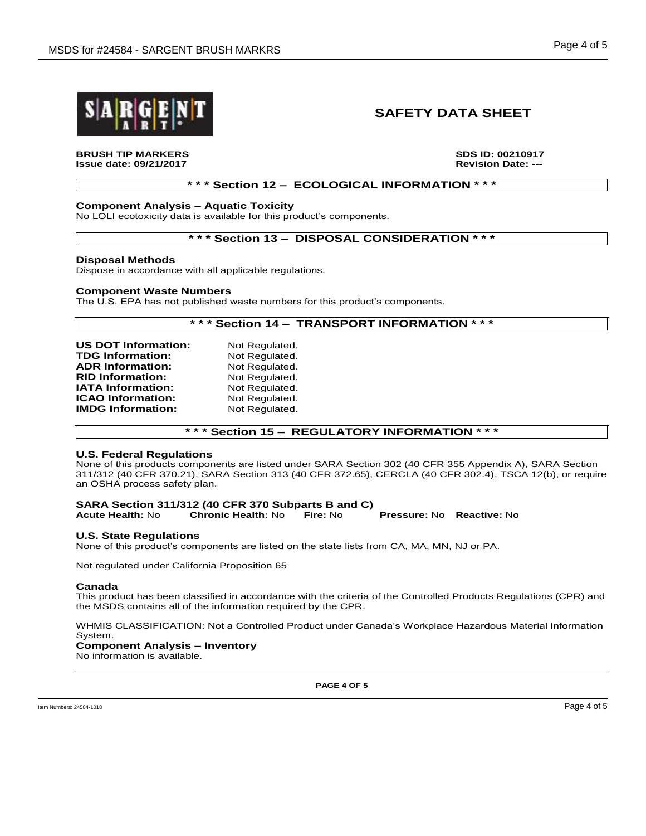

# **SAFETY DATA SHEET**

**BRUSH TIP MARKERS SDS ID: 00210917 Issue date: 09/21/2017** 

### **\* \* \* Section 12 – ECOLOGICAL INFORMATION \* \* \***

### **Component Analysis – Aquatic Toxicity**

No LOLI ecotoxicity data is available for this product's components.

#### **\* \* \* Section 13 – DISPOSAL CONSIDERATION \* \* \***

#### **Disposal Methods**

Dispose in accordance with all applicable regulations.

#### **Component Waste Numbers**

The U.S. EPA has not published waste numbers for this product's components.

#### **\* \* \* Section 14 – TRANSPORT INFORMATION \* \* \***

| <b>US DOT Information:</b> | Not Regulated. |
|----------------------------|----------------|
| <b>TDG Information:</b>    | Not Regulated. |
| <b>ADR Information:</b>    | Not Regulated. |
| <b>RID Information:</b>    | Not Regulated. |
| <b>IATA Information:</b>   | Not Regulated. |
| <b>ICAO Information:</b>   | Not Regulated. |
| <b>IMDG Information:</b>   | Not Regulated. |

### **\* \* \* Section 15 – REGULATORY INFORMATION \* \* \***

#### **U.S. Federal Regulations**

None of this products components are listed under SARA Section 302 (40 CFR 355 Appendix A), SARA Section 311/312 (40 CFR 370.21), SARA Section 313 (40 CFR 372.65), CERCLA (40 CFR 302.4), TSCA 12(b), or require an OSHA process safety plan.

#### **SARA Section 311/312 (40 CFR 370 Subparts B and C) Acute Health:** No **Chronic Health:** No **Fire:** No **Pressure:** No **Reactive:** No

# **U.S. State Regulations**

None of this product's components are listed on the state lists from CA, MA, MN, NJ or PA.

Not regulated under California Proposition 65

#### **Canada**

This product has been classified in accordance with the criteria of the Controlled Products Regulations (CPR) and the MSDS contains all of the information required by the CPR.

WHMIS CLASSIFICATION: Not a Controlled Product under Canada's Workplace Hazardous Material Information System.

## **Component Analysis – Inventory**

No information is available.

**PAGE 4 OF 5**